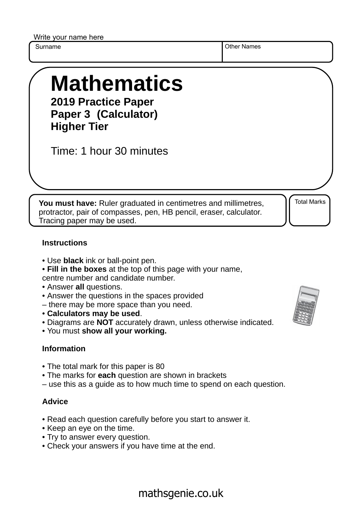Write your name here

Surname **Other Names** Other Names

# **Mathematics**

**2019 Practice Paper Paper 3 (Calculator) Higher Tier**

Time: 1 hour 30 minutes

**You must have:** Ruler graduated in centimetres and millimetres, protractor, pair of compasses, pen, HB pencil, eraser, calculator. Tracing paper may be used.

Total Marks

#### **Instructions**

- Use **black** ink or ball-point pen.
- **Fill in the boxes** at the top of this page with your name,
- centre number and candidate number.
- Answer **all** questions.
- Answer the questions in the spaces provided
- there may be more space than you need.
- **Calculators may be used**.
- Diagrams are **NOT** accurately drawn, unless otherwise indicated.
- You must **show all your working.**

### **Information**

- The total mark for this paper is 80
- The marks for **each** question are shown in brackets
- use this as a guide as to how much time to spend on each question.

### **Advice**

- Read each question carefully before you start to answer it.
- Keep an eye on the time.
- Try to answer every question.
- Check your answers if you have time at the end.



## mathsgenie.co.uk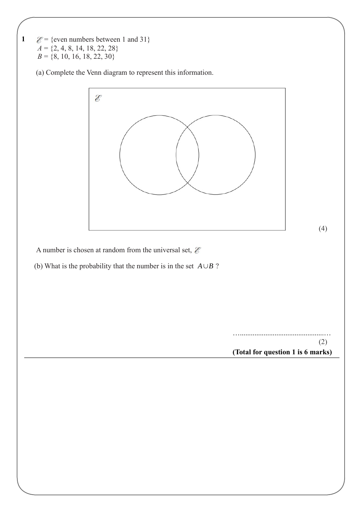**1**   $\mathcal{E}$  = {even numbers between 1 and 31}  $A = \{2, 4, 8, 14, 18, 22, 28\}$  $B = \{8, 10, 16, 18, 22, 30\}$ 

(a) Complete the Venn diagram to represent this information.



A number is chosen at random from the universal set,  $\mathcal E$ 

(b) What is the probability that the number is in the set  $A \cup B$ ?

**(Total for question 1 is 6 marks)** …..............................................… (2)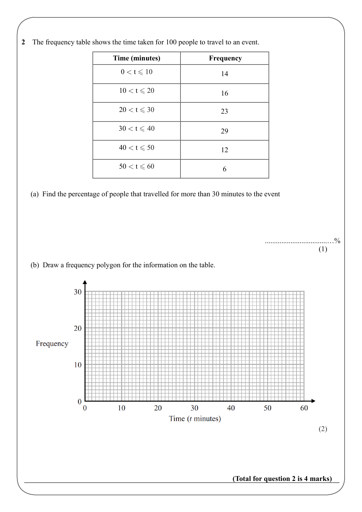

..................................…%

(1)

**2** The frequency table shows the time taken for 100 people to travel to an event.

(a) Find the percentage of people that travelled for more than 30 minutes to the event



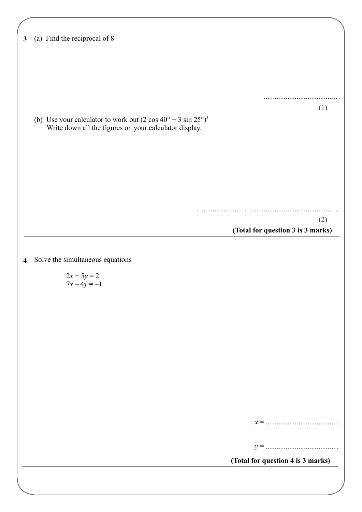| $\mathbf{3}$            | (a) Find the reciprocal of 8                                                |
|-------------------------|-----------------------------------------------------------------------------|
|                         |                                                                             |
|                         |                                                                             |
|                         |                                                                             |
|                         | (1)                                                                         |
|                         | (b) Use your calculator to work out $(2 \cos 40^\circ + 3 \sin 25^\circ)^3$ |
|                         | Write down all the figures on your calculator display.                      |
|                         |                                                                             |
|                         |                                                                             |
|                         |                                                                             |
|                         |                                                                             |
|                         | (2)                                                                         |
|                         | (Total for question 3 is 3 marks)                                           |
| $\overline{\mathbf{4}}$ | Solve the simultaneous equations                                            |
|                         | $2x + 5y = 2$<br>$7x - 4y = -1$                                             |
|                         |                                                                             |
|                         |                                                                             |
|                         |                                                                             |
|                         |                                                                             |
|                         |                                                                             |
|                         |                                                                             |
|                         |                                                                             |
|                         |                                                                             |
|                         |                                                                             |
|                         |                                                                             |
|                         | (Total for question 4 is 3 marks)                                           |
|                         |                                                                             |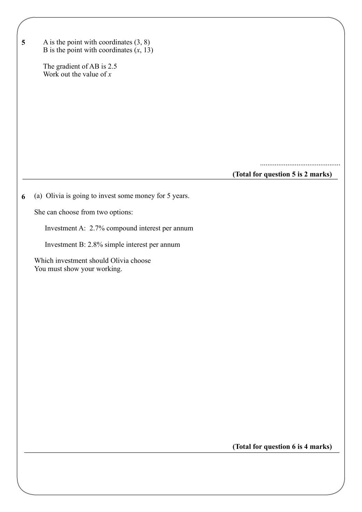| $\overline{\mathbf{5}}$ | A is the point with coordinates $(3, 8)$<br>B is the point with coordinates $(x, 13)$ |                                   |
|-------------------------|---------------------------------------------------------------------------------------|-----------------------------------|
|                         | The gradient of AB is 2.5<br>Work out the value of $x$                                |                                   |
|                         |                                                                                       |                                   |
|                         |                                                                                       |                                   |
|                         |                                                                                       |                                   |
|                         |                                                                                       |                                   |
|                         |                                                                                       | (Total for question 5 is 2 marks) |
| 6                       | (a) Olivia is going to invest some money for 5 years.                                 |                                   |
|                         | She can choose from two options:                                                      |                                   |
|                         | Investment A: 2.7% compound interest per annum                                        |                                   |
|                         | Investment B: 2.8% simple interest per annum                                          |                                   |
|                         | Which investment should Olivia choose<br>You must show your working.                  |                                   |
|                         |                                                                                       |                                   |
|                         |                                                                                       |                                   |
|                         |                                                                                       |                                   |
|                         |                                                                                       |                                   |
|                         |                                                                                       |                                   |
|                         |                                                                                       |                                   |
|                         |                                                                                       |                                   |
|                         |                                                                                       |                                   |
|                         |                                                                                       |                                   |
|                         |                                                                                       |                                   |
|                         |                                                                                       |                                   |

**(Total for question 6 is 4 marks)**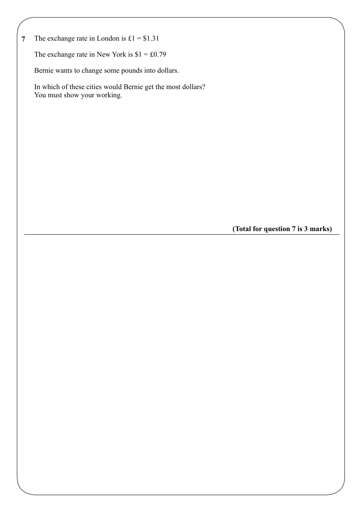**7** The exchange rate in London is  $£1 = $1.31$ 

The exchange rate in New York is  $$1 = £0.79$ 

Bernie wants to change some pounds into dollars.

 In which of these cities would Bernie get the most dollars? You must show your working.

**(Total for question 7 is 3 marks)**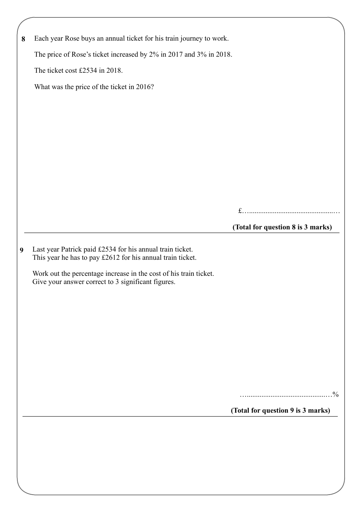| 8 | Each year Rose buys an annual ticket for his train journey to work.                                                     |                                   |
|---|-------------------------------------------------------------------------------------------------------------------------|-----------------------------------|
|   | The price of Rose's ticket increased by 2% in 2017 and 3% in 2018.                                                      |                                   |
|   | The ticket cost £2534 in 2018.                                                                                          |                                   |
|   | What was the price of the ticket in 2016?                                                                               |                                   |
|   |                                                                                                                         |                                   |
|   |                                                                                                                         |                                   |
|   |                                                                                                                         |                                   |
|   |                                                                                                                         |                                   |
|   |                                                                                                                         |                                   |
|   |                                                                                                                         |                                   |
|   |                                                                                                                         |                                   |
|   |                                                                                                                         |                                   |
|   |                                                                                                                         | (Total for question 8 is 3 marks) |
| 9 | Last year Patrick paid £2534 for his annual train ticket.<br>This year he has to pay £2612 for his annual train ticket. |                                   |
|   | Work out the percentage increase in the cost of his train ticket.<br>Give your answer correct to 3 significant figures. |                                   |
|   |                                                                                                                         |                                   |
|   |                                                                                                                         |                                   |
|   |                                                                                                                         |                                   |
|   |                                                                                                                         |                                   |
|   |                                                                                                                         |                                   |
|   |                                                                                                                         |                                   |
|   |                                                                                                                         |                                   |
|   |                                                                                                                         | $\frac{0}{0}$                     |
|   |                                                                                                                         | (Total for question 9 is 3 marks) |
|   |                                                                                                                         |                                   |
|   |                                                                                                                         |                                   |
|   |                                                                                                                         |                                   |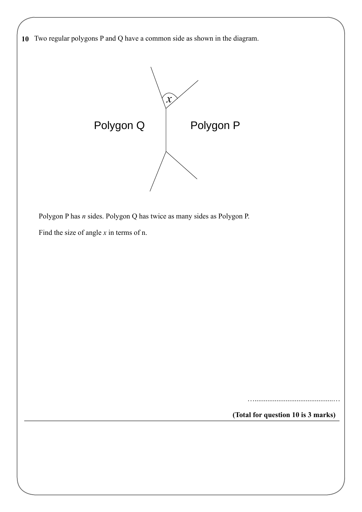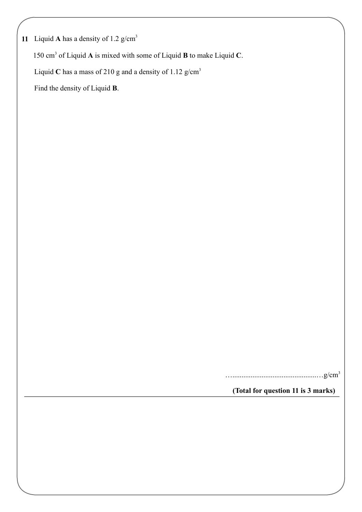**11** Liquid **A** has a density of 1.2 g/cm<sup>3</sup>

150 cm<sup>3</sup> of Liquid A is mixed with some of Liquid **B** to make Liquid C.

Liquid C has a mass of 210 g and a density of 1.12  $g/cm<sup>3</sup>$ 

Find the density of Liquid **B**.

………………………………………g/cm<sup>3</sup>

**(Total for question 11 is 3 marks)**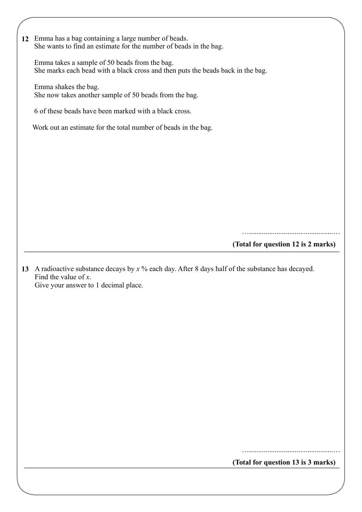**12** Emma has a bag containing a large number of beads. She wants to find an estimate for the number of beads in the bag.

 Emma takes a sample of 50 beads from the bag. She marks each bead with a black cross and then puts the beads back in the bag.

 Emma shakes the bag. She now takes another sample of 50 beads from the bag.

6 of these beads have been marked with a black cross.

Work out an estimate for the total number of beads in the bag.

**(Total for question 12 is 2 marks)** …..............................................…

**13** A radioactive substance decays by *x* % each day. After 8 days half of the substance has decayed. Find the value of *x*. Give your answer to 1 decimal place.

**(Total for question 13 is 3 marks)**

…..............................................…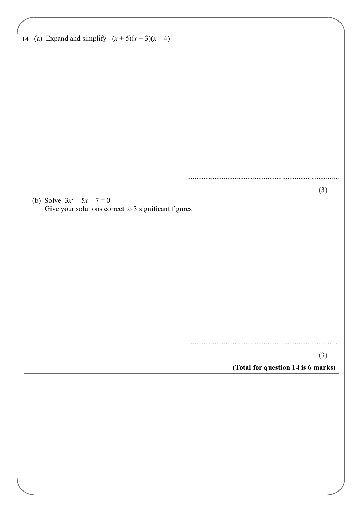| 14 (a) Expand and simplify $(x+5)(x+3)(x-4)$         |                                    |
|------------------------------------------------------|------------------------------------|
|                                                      |                                    |
|                                                      |                                    |
|                                                      |                                    |
|                                                      |                                    |
|                                                      |                                    |
| (b) Solve $3x^2 - 5x - 7 = 0$                        | (3)                                |
| Give your solutions correct to 3 significant figures |                                    |
|                                                      |                                    |
|                                                      |                                    |
|                                                      |                                    |
|                                                      |                                    |
|                                                      | (3)                                |
|                                                      | (Total for question 14 is 6 marks) |
|                                                      |                                    |
|                                                      |                                    |
|                                                      |                                    |
|                                                      |                                    |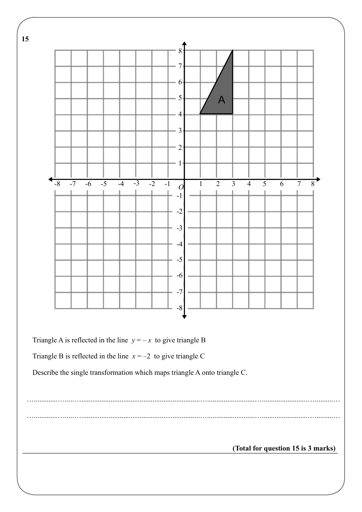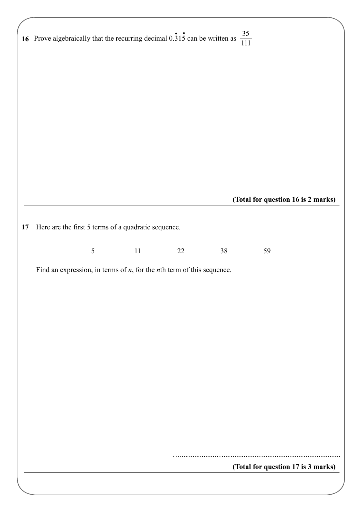|  |                |                                                     |                                                                             | 16 Prove algebraically that the recurring decimal $0.\overline{3}1\overline{5}$ can be written as $\frac{35}{111}$ |                                    |  |
|--|----------------|-----------------------------------------------------|-----------------------------------------------------------------------------|--------------------------------------------------------------------------------------------------------------------|------------------------------------|--|
|  |                |                                                     |                                                                             |                                                                                                                    |                                    |  |
|  |                |                                                     |                                                                             |                                                                                                                    |                                    |  |
|  |                |                                                     |                                                                             |                                                                                                                    |                                    |  |
|  |                |                                                     |                                                                             |                                                                                                                    |                                    |  |
|  |                |                                                     |                                                                             |                                                                                                                    |                                    |  |
|  |                |                                                     |                                                                             |                                                                                                                    |                                    |  |
|  |                |                                                     |                                                                             |                                                                                                                    |                                    |  |
|  |                |                                                     |                                                                             |                                                                                                                    |                                    |  |
|  |                |                                                     |                                                                             |                                                                                                                    |                                    |  |
|  |                |                                                     |                                                                             |                                                                                                                    |                                    |  |
|  |                |                                                     |                                                                             |                                                                                                                    |                                    |  |
|  |                |                                                     |                                                                             |                                                                                                                    |                                    |  |
|  |                |                                                     |                                                                             |                                                                                                                    |                                    |  |
|  |                |                                                     |                                                                             |                                                                                                                    | (Total for question 16 is 2 marks) |  |
|  |                |                                                     |                                                                             |                                                                                                                    |                                    |  |
|  |                | Here are the first 5 terms of a quadratic sequence. |                                                                             |                                                                                                                    |                                    |  |
|  |                |                                                     |                                                                             |                                                                                                                    |                                    |  |
|  |                |                                                     |                                                                             |                                                                                                                    |                                    |  |
|  |                |                                                     |                                                                             |                                                                                                                    |                                    |  |
|  | $\mathfrak{S}$ | 11                                                  | 22                                                                          | 38                                                                                                                 | 59                                 |  |
|  |                |                                                     | Find an expression, in terms of $n$ , for the $n$ th term of this sequence. |                                                                                                                    |                                    |  |
|  |                |                                                     |                                                                             |                                                                                                                    |                                    |  |
|  |                |                                                     |                                                                             |                                                                                                                    |                                    |  |
|  |                |                                                     |                                                                             |                                                                                                                    |                                    |  |
|  |                |                                                     |                                                                             |                                                                                                                    |                                    |  |
|  |                |                                                     |                                                                             |                                                                                                                    |                                    |  |
|  |                |                                                     |                                                                             |                                                                                                                    |                                    |  |
|  |                |                                                     |                                                                             |                                                                                                                    |                                    |  |
|  |                |                                                     |                                                                             |                                                                                                                    |                                    |  |
|  |                |                                                     |                                                                             |                                                                                                                    |                                    |  |
|  |                |                                                     |                                                                             |                                                                                                                    |                                    |  |
|  |                |                                                     |                                                                             |                                                                                                                    |                                    |  |
|  |                |                                                     |                                                                             |                                                                                                                    |                                    |  |
|  |                |                                                     |                                                                             |                                                                                                                    |                                    |  |
|  |                |                                                     |                                                                             |                                                                                                                    |                                    |  |
|  |                |                                                     |                                                                             |                                                                                                                    |                                    |  |
|  |                |                                                     |                                                                             |                                                                                                                    |                                    |  |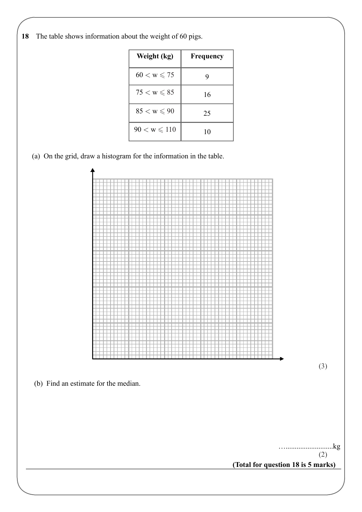**18** The table shows information about the weight of 60 pigs.

| Weight (kg)            | Frequency |
|------------------------|-----------|
| $60 < w \leqslant 75$  | Ÿ         |
| $75 < w \leqslant 85$  | 16        |
| $85 < w \leqslant 90$  | 25        |
| $90 < w \leqslant 110$ | 10        |

(a) On the grid, draw a histogram for the information in the table.

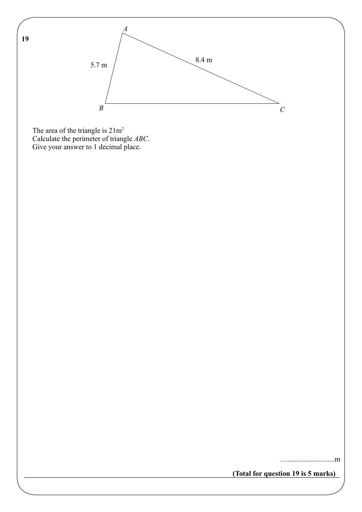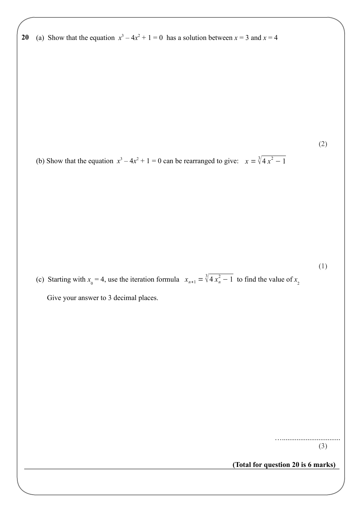**20 20** (a) Show that the equation  $x^3 - 4x^2 + 1 = 0$  has a solution between  $x = 3$  and  $x = 4$ 

(b) Show that the equation  $x^3 - 4x^2 + 1 = 0$  can be rearranged to give:  $x = \sqrt[3]{4x^2 - 1}$ 

(c) Starting with  $x_0 = 4$ , use the iteration formula  $x_{n+1} = \sqrt[3]{4x_n^2 - 1}$  to find the value of  $x_2$ 

Give your answer to 3 decimal places.

…................................ (3)

(2)

(1)

**(Total for question 20 is 6 marks)**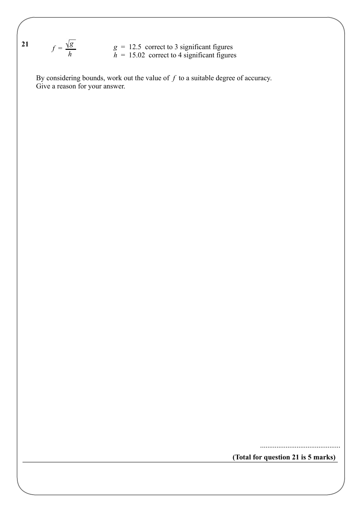21 
$$
f = \frac{\sqrt{g}}{h}
$$
  $g = 12.5$  correct to 3 significant figures  
\n $h = 15.02$  correct to 4 significant figures

 $\mathbf{I}$  By considering bounds, work out the value of *f* to a suitable degree of accuracy. Give a reason for your answer.

**(Total for question 21 is 5 marks)**

............................................